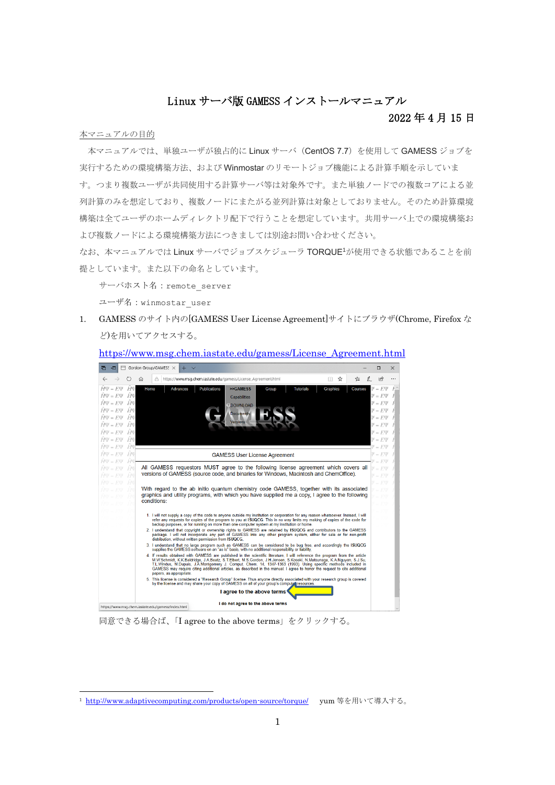# Linux サーバ版 GAMESS インストールマニュアル

## 2022 年 4 月 15 日

### 本マニュアルの目的

本マニュアルでは、単独ユーザが独占的に Linux サーバ(CentOS 7.7)を使用して GAMESS ジョブを 実行するための環境構築方法、および Winmostar のリモートジョブ機能による計算手順を示していま す。つまり複数ユーザが共同使用する計算サーバ等は対象外です。また単独ノードでの複数コアによる並 列計算のみを想定しており、複数ノードにまたがる並列計算は対象としておりません。そのため計算環境 構築は全てユーザのホームディレクトリ配下で行うことを想定しています。共用サーバ上での環境構築お よび複数ノードによる環境構築方法につきましては別途お問い合わせください。

なお、本マニュアルでは Linux サーバでジョブスケジューラ TORQUE<sup>1</sup>が使用できる状態であることを前 提としています。また以下の命名としています。

サーバホスト名:remote\_server

ユーザ名:winmostar\_user

1. GAMESS のサイト内の[GAMESS User License Agreement]サイトにブラウザ(Chrome, Firefox な ど)を用いてアクセスする。



[https://www.msg.chem.iastate.edu/gamess/License\\_Agreement.html](https://www.msg.chem.iastate.edu/gamess/License_Agreement.html)

同意できる場合ば、「I agree to the above terms」をクリックする。

<sup>1</sup> <http://www.adaptivecomputing.com/products/open-source/torque/> vum 等を用いて導入する。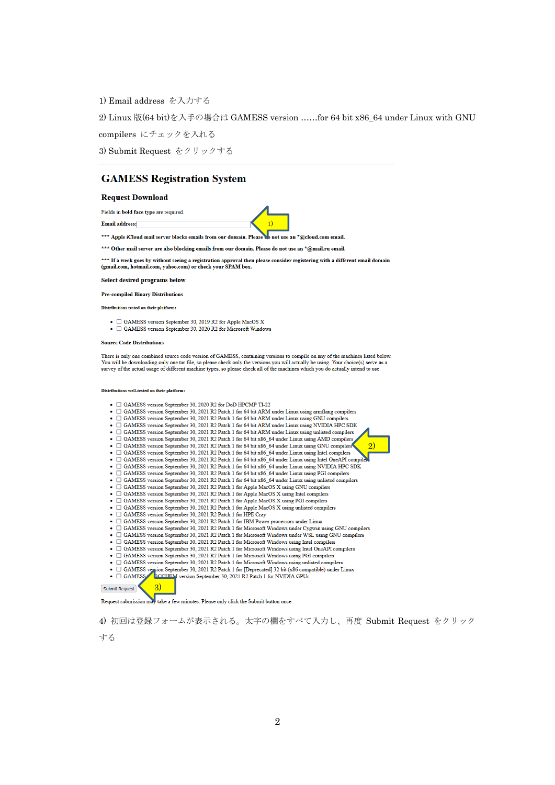1) Email address を入力する

2) Linux 版(64 bit)を入手の場合は GAMESS version ……for 64 bit x86\_64 under Linux with GNU

compilers にチェックを入れる

3) Submit Request をクリックする

# **GAMESS Registration System**

#### **Request Download**

Fields in bold face type are required.

Email address:

\*\*\* Apple iCloud mail server blocks emails from our domain. Please  $\frac{1}{2}$  not use an  $*$ @cloud.com email.

\*\*\* Other mail server are also blocking emails from our domain. Please do not use an \*@mail.ru email.

\*\*\* If a week goes by without seeing a registration approval then please consider registering with a different email domain<br>(gmail.com, hotmail.com, yahoo.com) or check your SPAM box.

1)

**Select desired programs below** 

**Pre-compiled Binary Distributions** 

Distributions tested on their platform:

- $\bullet$   $\Box$  GAMESS version September 30, 2019 R2 for Apple MacOS X
- $\bullet$   $\Box$  GAMESS version September 30, 2020 R2 for Microsoft Windows

#### **Source Code Distribution**

There is only one combined source code version of GAMESS, containing versions to compile on any of the machines listed below. You will be downloading only one tar file, so please check only the versions you will actually be using. Your choice(s) serve as a survey of the actual usage of different machine types, so please check all of the machines

#### Distributions well-tested on their platform:

- **GAMESS** version September 30, 2020 R2 for DoD HPCMP TI-22
- □ GAMESS version September 30, 2021 R2 Patch 1 for 64 bit ARM under Linux using armflang compilers
- GAMESS version September 30, 2021 R2 Patch 1 for 64 bit ARM under Linux using GNU compilers<br>■ GAMESS version September 30, 2021 R2 Patch 1 for 64 bit ARM under Linux using NVIDIA HPC SDK
- 
- GAMESS version September 30, 2021 R2 Patch 1 for 64 bit ARM under Linux using unlisted compilers □ GAMESS version September 30, 2021 R2 Patch 1 for 64 bit x86\_64 under Linux using AMD compilers
- □ GAMESS version September 30, 2021 R2 Patch 1 for 64 bit x86 64 under Linux using GNU compilers  $\Omega$
- □ GAMESS version September 30, 2021 R2 Patch 1 for 64 bit x86\_64 under Linux using Intel compilers
- □ GAMESS version September 30, 2021 R2 Patch 1 for 64 bit x86 64 under Linux using Intel OneAPI compi
- $\Box$  GAMESS version September 30, 2021 R2 Patch 1 for 64 bit x86 64 under Linux using NVIDIA HPC SDK
- $\Box$  GAMESS version September 30, 2021 R2 Patch 1 for 64 bit x86\_64 under Linux using PGI compilers  $\Box$  GAMESS version September 30, 2021 R2 Patch 1 for 64 bit x86\_64 under Linux using PGI compilers  $\Box$  GAMESS version S
- □ GAMESS version September 30, 2021 R2 Patch 1 for Apple MacOS X using GNU compilers
- 
- □ GAMESS version September 30, 2021 R2 Patch 1 for Apple MacOS X using Intel compilers<br>□ GAMESS version September 30, 2021 R2 Patch 1 for Apple MacOS X using PGI compilers
- GAMESS version September 30, 2021 R2 Patch 1 for Apple MacOS X using unlisted compilers
- GAMESS version September 30, 2021 R2 Patch 1 for HPE Cray
- GAMESS version September 30, 2021 R2 Patch 1 for IBM Power processors under Linux
- $\Box$  GAMESS version September 30, 2021 R2 Patch 1 for Microsoft Windows under Cygwin using GNU compilers □ GAMESS version September 30, 2021 R2 Patch 1 for Microsoft Windows under WSL using GNU compilers<br>□ GAMESS version September 30, 2021 R2 Patch 1 for Microsoft Windows under WSL using GNU compilers
- GAMESS version September 30, 2021 R2 Patch 1 for Microsoft Windows using Intel compilers
- 
- $\bullet$   $\Box$  GAMESS version September 30, 2021 R2 Patch 1 for Microsoft Windows using Intel OneAPI co<br> $\bullet$   $\Box$  GAMESS version September 30, 2021 R2 Patch 1 for Microsoft Windows using PGI compilers
- GAMESS version September 30, 2021 R2 Patch 1 for Microsoft Windows using unlisted compiler
- GAMESS version September 30, 2021 R2 Patch 1 for [Deprecated] 32 bit (x86 compatible) under Linux GAMESS COHEM version September 30, 2021 R2 Patch 1 for NVIDIA GPUs
- $\bullet$   $\Box$  GAMESS

Submit Request 3)

Request submission may take a few minutes. Please only click the Submit button once.

4) 初回は登録フォームが表示される。太字の欄をすべて入力し、再度 Submit Request をクリック

する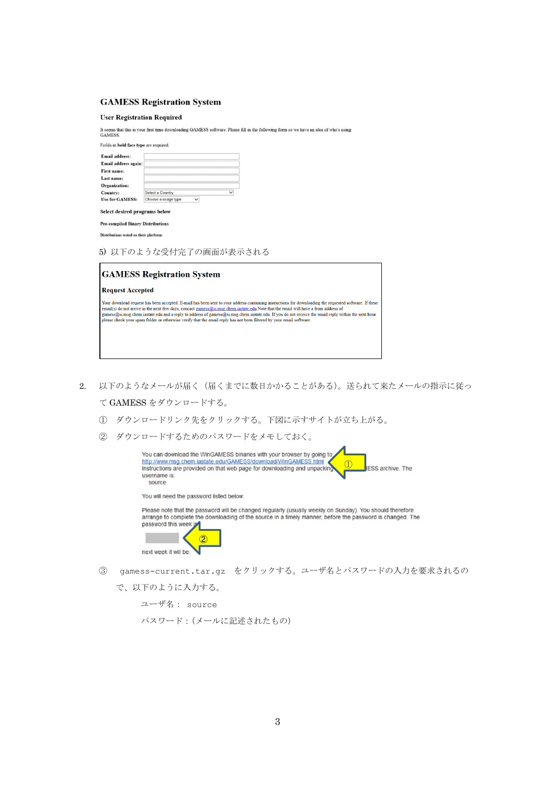## **GAMESS Registration System**

### **User Registration Required**

It seems that this is your first time downloading GAMESS software. Please fill in the following form so we have an idea of who's using

| Email address:         |                     |  |
|------------------------|---------------------|--|
| Email address again:   |                     |  |
| First name:            |                     |  |
| Last name:             |                     |  |
| Organization:          |                     |  |
| Country:               | Select a Country    |  |
| <b>Use for GAMESS:</b> | Choose a usage type |  |

## **Pre-compiled Binary Distributions**

Distributions tested on their platform:

## 5) 以下のような受付完了の画面が表示される

| <b>GAMESS Registration System</b>                                                                                                                                                                                                                                                                                                                                                                                                                                                                                                                                            |
|------------------------------------------------------------------------------------------------------------------------------------------------------------------------------------------------------------------------------------------------------------------------------------------------------------------------------------------------------------------------------------------------------------------------------------------------------------------------------------------------------------------------------------------------------------------------------|
| <b>Request Accepted</b>                                                                                                                                                                                                                                                                                                                                                                                                                                                                                                                                                      |
| Your download request has been accepted. E-mail has been sent to your address containing instructions for downloading the requested software. If these<br>email(s) do not arrive in the next few days, concact gamess@si.msg.chem.iastate.edu Note that the email will have a from address of<br>gamess@si.msg.chem.jastate.edu and a reply to address of gamess@si.msg.chem.jastate.edu. If you do not receive the email reply within the next hour<br>please check your spam folder or otherwise verify that the email reply has not been filtered by your email software. |

- 2. 以下のようなメールが届く(届くまでに数日かかることがある)。送られて来たメールの指示に従っ て GAMESS をダウンロードする。
	- ① ダウンロードリンク先をクリックする。下図に示すサイトが立ち上がる。
	- ② ダウンロードするためのパスワードをメモしておく。

|   | You can download the WinGAMESS binaries with your browser by going to:<br>http://www.msq.chem.iastate.edu/GAMESS/download/WinGAMESS.html<br>Instructions are provided on that web page for downloading and unpacking<br><b>IESS archive. The</b><br>username is:<br>source |
|---|----------------------------------------------------------------------------------------------------------------------------------------------------------------------------------------------------------------------------------------------------------------------------|
|   | You will need the password listed below:                                                                                                                                                                                                                                   |
|   | Please note that the password will be changed regularly (usually weekly on Sunday). You should therefore<br>arrange to complete the downloading of the source in a timely manner, before the password is changed. The<br>password this week is<br>next week it will be:    |
| 3 | をクリックする。ユーザ名とパスワードの入力を要求されるの<br>gamess-current.tar.gz                                                                                                                                                                                                                      |

で、以下のように入力する。

ユーザ名: source

パスワード:(メールに記述されたもの)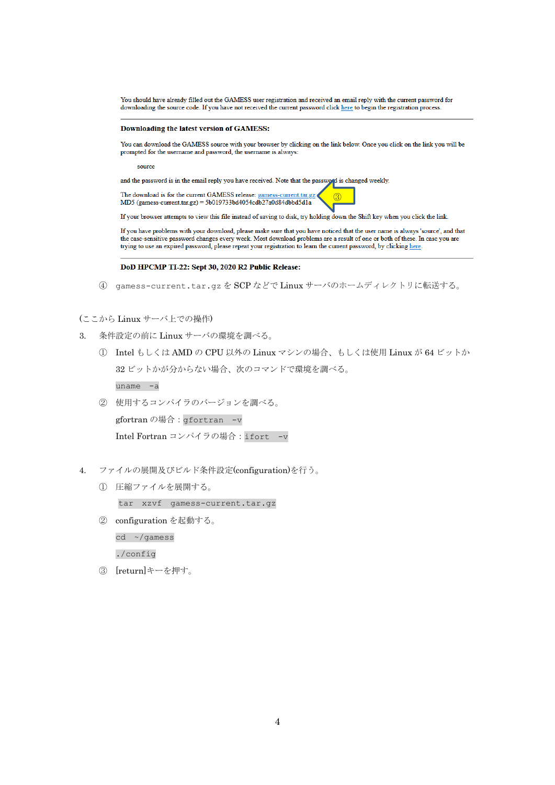You should have already filled out the GAMESS user registration and received an email reply with the current password for downloading the source code. If you have not received the current password click here to begin the registration process.

#### Downloading the latest version of GAMESS:

You can download the GAMESS source with your browser by clicking on the link below. Once you click on the link you will be prompted for the username and password, the username is always:

source

and the password is in the email reply you have received. Note that the password is changed weekly.

The download is for the current GAMESS release:  $\frac{\text{games-current}\cdot \text{tar}\cdot \text{g2}}{\text{MDS}}$  (gamess-current tar gz) = 5b019733bd4054cdb27a0d84dbbd5d1a

If your browser attempts to view this file instead of saving to disk, try holding down the Shift key when you click the link.

If you have problems with your download, please make sure that you have noticed that the user name is always 'source', and that the case-sensitive password changes every week. Most download problems are a result of one or both of these. In case you are trying to use an expired password, please repeat your registration to learn the current password, by clicking here.

 $\mathcal{Q}$ 

#### DoD HPCMP TI-22: Sept 30, 2020 R2 Public Release:

④ gamess-current.tar.gz を SCP などで Linux サーバのホームディレクトリに転送する。

#### (ここから Linux サーバ上での操作)

- 3. 条件設定の前に Linux サーバの環境を調べる。
	- ① Intel もしくは AMD の CPU 以外の Linux マシンの場合、もしくは使用 Linux が 64 ビットか 32 ビットかが分からない場合、次のコマンドで環境を調べる。 uname -a
	- ② 使用するコンパイラのバージョンを調べる。

gfortran の場合:gfortran -v

Intel Fortran コンパイラの場合: ifort -v

- 4. ファイルの展開及びビルド条件設定(configuration)を行う。
	- ① 圧縮ファイルを展開する。

tar xzvf gamess-current.tar.gz

② configuration を起動する。

cd ~/gamess

./config

③ [return]キーを押す。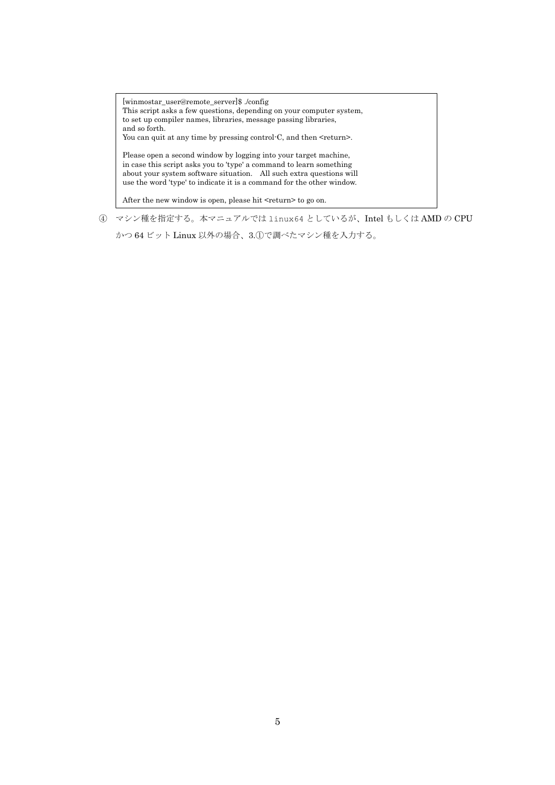[winmostar\_user@remote\_server]\$ ./config This script asks a few questions, depending on your computer system, to set up compiler names, libraries, message passing libraries, and so forth. You can quit at any time by pressing control-C, and then <return>.

Please open a second window by logging into your target machine, in case this script asks you to 'type' a command to learn something about your system software situation. All such extra questions will use the word 'type' to indicate it is a command for the other window.

After the new window is open, please hit <return> to go on.

④ マシン種を指定する。本マニュアルでは linux64 としているが、Intel もしくは AMD の CPU

かつ 64 ビット Linux 以外の場合、3.①で調べたマシン種を入力する。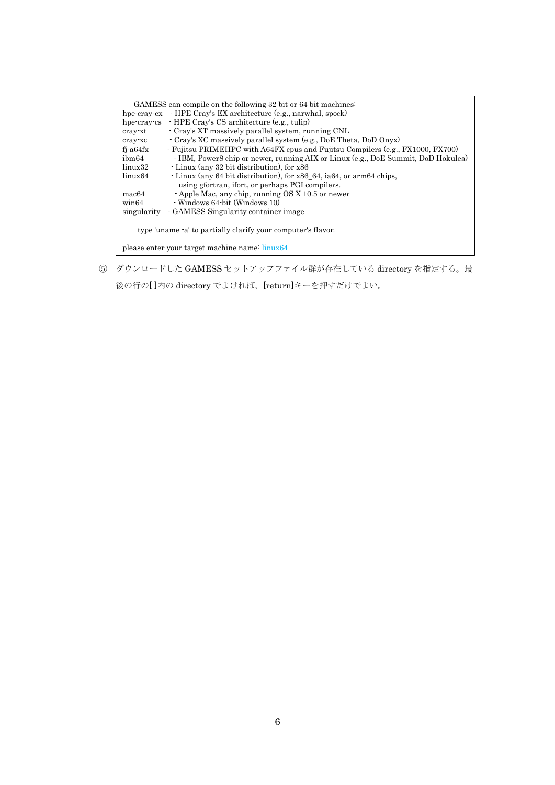| GAMESS can compile on the following 32 bit or 64 bit machines: |                                                                                   |  |  |  |
|----------------------------------------------------------------|-----------------------------------------------------------------------------------|--|--|--|
|                                                                | hpe-cray-ex - HPE Cray's EX architecture (e.g., narwhal, spock)                   |  |  |  |
|                                                                | hpe-cray-cs - HPE Cray's CS architecture (e.g., tulip)                            |  |  |  |
| cray-xt                                                        | - Cray's XT massively parallel system, running CNL                                |  |  |  |
| cray-xc                                                        | - Cray's XC massively parallel system (e.g., DoE Theta, DoD Onyx)                 |  |  |  |
| $fi$ a $64fx$                                                  | - Fujitsu PRIMEHPC with A64FX cpus and Fujitsu Compilers (e.g., FX1000, FX700)    |  |  |  |
| ibm64                                                          | - IBM, Power8 chip or newer, running AIX or Linux (e.g., DoE Summit, DoD Hokulea) |  |  |  |
| linux32                                                        | - Linux (any 32 bit distribution), for x86                                        |  |  |  |
| $\lim_{x64}$                                                   | - Linux (any 64 bit distribution), for x86 64, ia64, or arm64 chips,              |  |  |  |
|                                                                | using gfortran, ifort, or perhaps PGI compilers.                                  |  |  |  |
| mac64                                                          | - Apple Mac, any chip, running OS X 10.5 or newer                                 |  |  |  |
| win64                                                          | - Windows 64-bit (Windows 10)                                                     |  |  |  |
| singularity                                                    | GAMESS Singularity container image                                                |  |  |  |
|                                                                |                                                                                   |  |  |  |
| type 'uname a' to partially clarify your computer's flavor.    |                                                                                   |  |  |  |
|                                                                |                                                                                   |  |  |  |
| please enter your target machine name: linux64                 |                                                                                   |  |  |  |

⑤ ダウンロードした GAMESS セットアップファイル群が存在している directory を指定する。最 後の行の[ ]内の directory でよければ、[return]キーを押すだけでよい。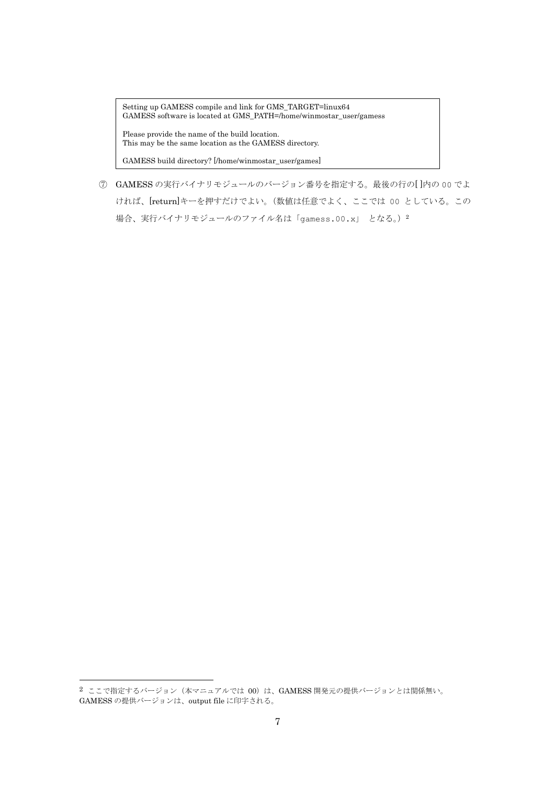Setting up GAMESS compile and link for GMS\_TARGET=linux64 GAMESS software is located at GMS\_PATH=/home/winmostar\_user/gamess

Please provide the name of the build location. This may be the same location as the GAMESS directory.

GAMESS build directory? [/home/winmostar\_user/games]

⑦ GAMESS の実行バイナリモジュールのバージョン番号を指定する。最後の行の[ ]内の 00 でよ ければ、[return]キーを押すだけでよい。(数値は任意でよく、ここでは 00 としている。この 場合、実行バイナリモジュールのファイル名は「gamess.00.x」 となる。) 2

<sup>2</sup> ここで指定するバージョン (本マニュアルでは 00) は、GAMESS 開発元の提供バージョンとは関係無い。 GAMESS の提供バージョンは、output file に印字される。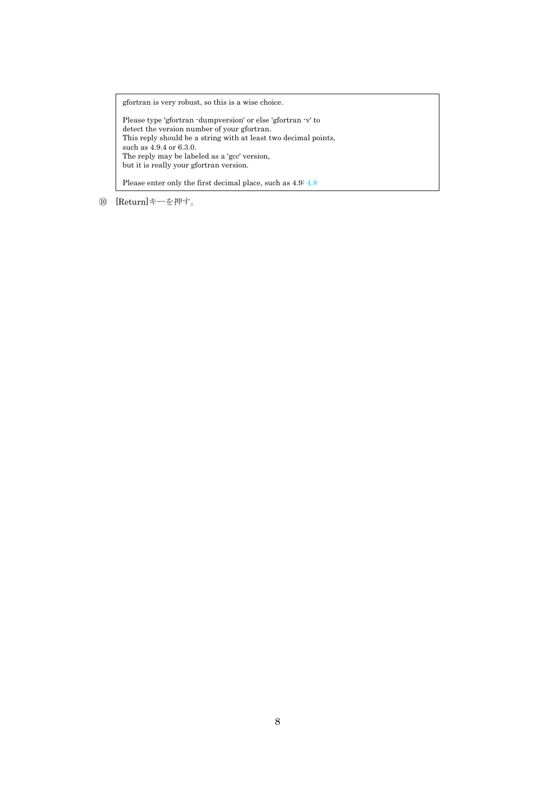gfortran is very robust, so this is a wise choice.

Please type 'gfortran -dumpversion' or else 'gfortran -v' to detect the version number of your gfortran. This reply should be a string with at least two decimal points, such as  $4.9.4$  or 6.3.0. The reply may be labeled as a 'gcc' version, but it is really your gfortran version.

Please enter only the first decimal place, such as 4.9: 4.8

⑩ [Return]キーを押す。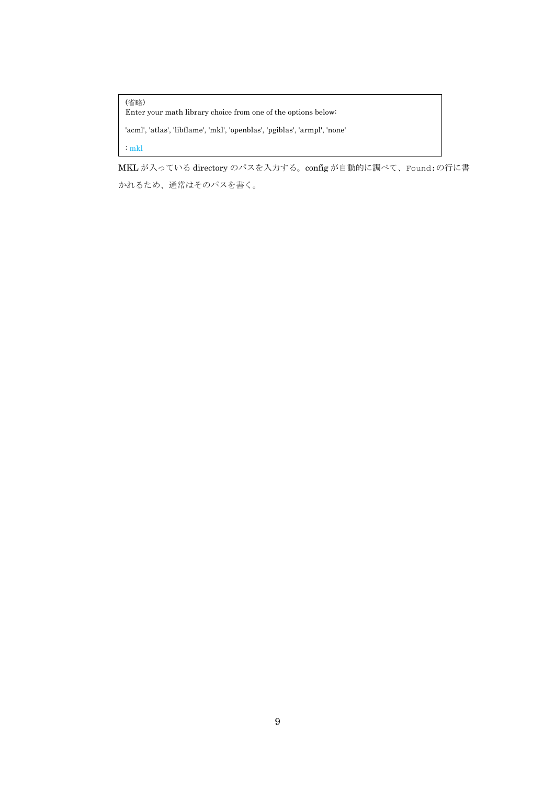(省略) Enter your math library choice from one of the options below: 'acml', 'atlas', 'libflame', 'mkl', 'openblas', 'pgiblas', 'armpl', 'none' : mkl

MKL が入っている directory のパスを入力する。config が自動的に調べて、Found:の行に書 かれるため、通常はそのパスを書く。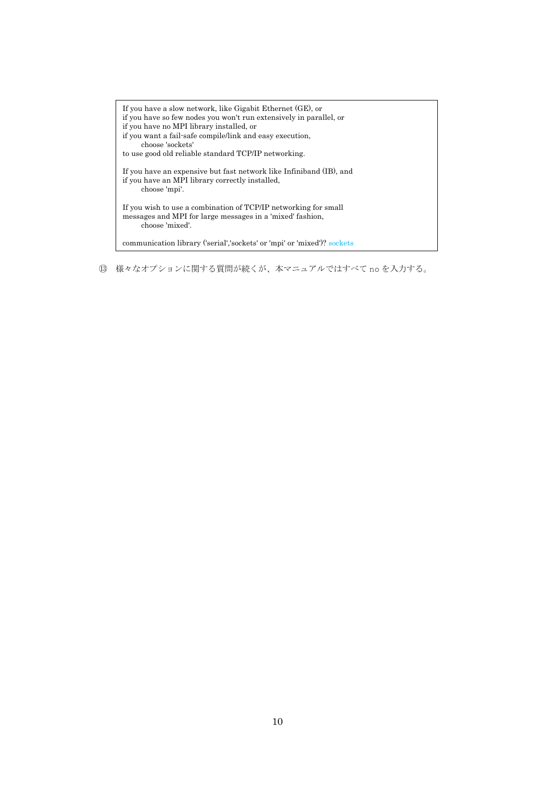If you have a slow network, like Gigabit Ethernet (GE), or if you have so few nodes you won't run extensively in parallel, or if you have no MPI library installed, or if you want a fail-safe compile/link and easy execution, choose 'sockets' to use good old reliable standard TCP/IP networking. If you have an expensive but fast network like Infiniband (IB), and if you have an MPI library correctly installed, choose 'mpi'. If you wish to use a combination of TCP/IP networking for small messages and MPI for large messages in a 'mixed' fashion, choose 'mixed'. communication library ('serial','sockets' or 'mpi' or 'mixed')? sockets

⑬ 様々なオプションに関する質問が続くが、本マニュアルではすべて no を入力する。